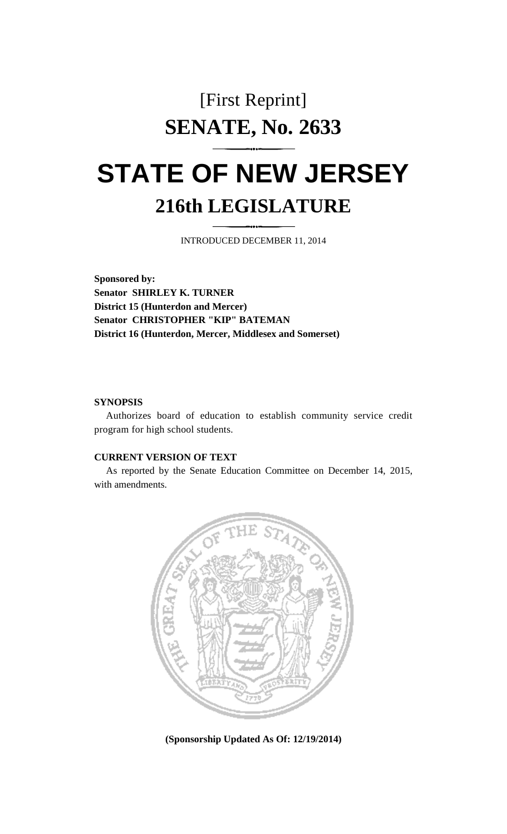## [First Reprint] **SENATE, No. 2633**

# **STATE OF NEW JERSEY 216th LEGISLATURE**

INTRODUCED DECEMBER 11, 2014

**Sponsored by: Senator SHIRLEY K. TURNER District 15 (Hunterdon and Mercer) Senator CHRISTOPHER "KIP" BATEMAN District 16 (Hunterdon, Mercer, Middlesex and Somerset)**

### **SYNOPSIS**

Authorizes board of education to establish community service credit program for high school students.

### **CURRENT VERSION OF TEXT**

As reported by the Senate Education Committee on December 14, 2015, with amendments.



**(Sponsorship Updated As Of: 12/19/2014)**